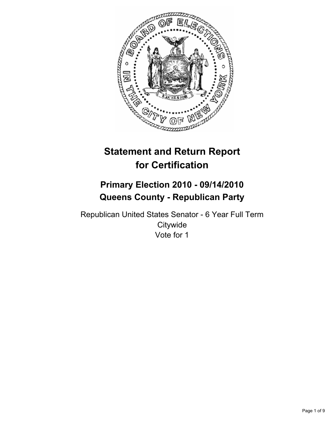

# **Statement and Return Report for Certification**

# **Primary Election 2010 - 09/14/2010 Queens County - Republican Party**

Republican United States Senator - 6 Year Full Term **Citywide** Vote for 1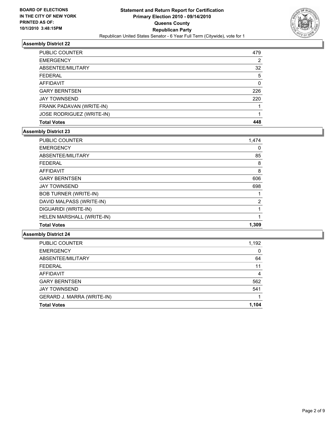

| <b>Total Votes</b>        | 448 |
|---------------------------|-----|
| JOSE RODRIGUEZ (WRITE-IN) |     |
| FRANK PADAVAN (WRITE-IN)  |     |
| <b>JAY TOWNSEND</b>       | 220 |
| <b>GARY BERNTSEN</b>      | 226 |
| AFFIDAVIT                 | 0   |
| <b>FEDERAL</b>            | -5  |
| ABSENTEE/MILITARY         | 32  |
| <b>EMERGENCY</b>          | 2   |
| <b>PUBLIC COUNTER</b>     | 479 |

## **Assembly District 23**

| <b>Total Votes</b>           | 1.309          |
|------------------------------|----------------|
| HELEN MARSHALL (WRITE-IN)    | 1              |
| DIGUARIDI (WRITE-IN)         | 1              |
| DAVID MALPASS (WRITE-IN)     | $\overline{2}$ |
| <b>BOB TURNER (WRITE-IN)</b> |                |
| <b>JAY TOWNSEND</b>          | 698            |
| <b>GARY BERNTSEN</b>         | 606            |
| <b>AFFIDAVIT</b>             | 8              |
| <b>FEDERAL</b>               | 8              |
| ABSENTEE/MILITARY            | 85             |
| <b>EMERGENCY</b>             | 0              |
| <b>PUBLIC COUNTER</b>        | 1,474          |

| <b>Total Votes</b>         | 1.104 |
|----------------------------|-------|
| GERARD J. MARRA (WRITE-IN) |       |
| <b>JAY TOWNSEND</b>        | 541   |
| <b>GARY BERNTSEN</b>       | 562   |
| <b>AFFIDAVIT</b>           | 4     |
| <b>FEDERAL</b>             | 11    |
| ABSENTEE/MILITARY          | 64    |
| <b>EMERGENCY</b>           | 0     |
| PUBLIC COUNTER             | 1,192 |
|                            |       |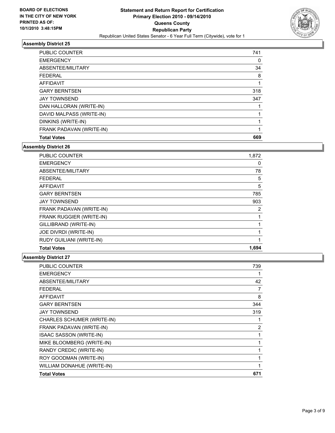

| <b>PUBLIC COUNTER</b>    | 741 |
|--------------------------|-----|
| <b>EMERGENCY</b>         | 0   |
| ABSENTEE/MILITARY        | 34  |
| <b>FEDERAL</b>           | 8   |
| AFFIDAVIT                |     |
| <b>GARY BERNTSEN</b>     | 318 |
| <b>JAY TOWNSEND</b>      | 347 |
| DAN HALLORAN (WRITE-IN)  |     |
| DAVID MALPASS (WRITE-IN) |     |
| DINKINS (WRITE-IN)       |     |
| FRANK PADAVAN (WRITE-IN) | 1   |
| <b>Total Votes</b>       | 669 |

**Assembly District 26**

| <b>Total Votes</b>       | 1,694 |
|--------------------------|-------|
| RUDY GUILIANI (WRITE-IN) | 1     |
| JOE DIVRDI (WRITE-IN)    |       |
| GILLIBRAND (WRITE-IN)    |       |
| FRANK RUGGIER (WRITE-IN) | 1     |
| FRANK PADAVAN (WRITE-IN) | 2     |
| <b>JAY TOWNSEND</b>      | 903   |
| <b>GARY BERNTSEN</b>     | 785   |
| AFFIDAVIT                | 5     |
| <b>FEDERAL</b>           | 5     |
| ABSENTEE/MILITARY        | 78    |
| <b>EMERGENCY</b>         | 0     |
| <b>PUBLIC COUNTER</b>    | 1,872 |

| <b>PUBLIC COUNTER</b>          | 739            |
|--------------------------------|----------------|
| <b>EMERGENCY</b>               |                |
| ABSENTEE/MILITARY              | 42             |
| <b>FEDERAL</b>                 | 7              |
| <b>AFFIDAVIT</b>               | 8              |
| <b>GARY BERNTSEN</b>           | 344            |
| <b>JAY TOWNSEND</b>            | 319            |
| CHARLES SCHUMER (WRITE-IN)     |                |
| FRANK PADAVAN (WRITE-IN)       | $\overline{2}$ |
| <b>ISAAC SASSON (WRITE-IN)</b> |                |
| MIKE BLOOMBERG (WRITE-IN)      |                |
| RANDY CREDIC (WRITE-IN)        |                |
| ROY GOODMAN (WRITE-IN)         |                |
| WILLIAM DONAHUE (WRITE-IN)     |                |
| <b>Total Votes</b>             | 671            |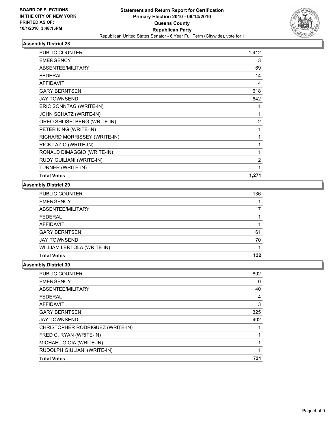

| <b>PUBLIC COUNTER</b>        | 1,412          |
|------------------------------|----------------|
| <b>EMERGENCY</b>             | 3              |
| ABSENTEE/MILITARY            | 69             |
| <b>FEDERAL</b>               | 14             |
| <b>AFFIDAVIT</b>             | 4              |
| <b>GARY BERNTSEN</b>         | 618            |
| <b>JAY TOWNSEND</b>          | 642            |
| ERIC SONNTAG (WRITE-IN)      | 1              |
| JOHN SCHATZ (WRITE-IN)       | 1              |
| OREO SHLISELBERG (WRITE-IN)  | $\overline{2}$ |
| PETER KING (WRITE-IN)        | 1              |
| RICHARD MORRISSEY (WRITE-IN) | 1              |
| RICK LAZIO (WRITE-IN)        | 1              |
| RONALD DIMAGGIO (WRITE-IN)   | 1              |
| RUDY GUILIANI (WRITE-IN)     | $\overline{2}$ |
| TURNER (WRITE-IN)            | 1              |
| <b>Total Votes</b>           | 1,271          |

### **Assembly District 29**

| <b>PUBLIC COUNTER</b>      | 136 |
|----------------------------|-----|
| <b>EMERGENCY</b>           |     |
| ABSENTEE/MILITARY          | 17  |
| <b>FEDERAL</b>             |     |
| AFFIDAVIT                  |     |
| <b>GARY BERNTSEN</b>       | 61  |
| <b>JAY TOWNSEND</b>        | 70  |
| WILLIAM LERTOLA (WRITE-IN) |     |
| <b>Total Votes</b>         | 132 |

| PUBLIC COUNTER                   | 802 |
|----------------------------------|-----|
| <b>EMERGENCY</b>                 | 0   |
| ABSENTEE/MILITARY                | 40  |
| <b>FEDERAL</b>                   | 4   |
| <b>AFFIDAVIT</b>                 | 3   |
| <b>GARY BERNTSEN</b>             | 325 |
| <b>JAY TOWNSEND</b>              | 402 |
| CHRISTOPHER RODRIGUEZ (WRITE-IN) |     |
| FRED C. RYAN (WRITE-IN)          |     |
| MICHAEL GIOIA (WRITE-IN)         |     |
| RUDOLPH GIULIANI (WRITE-IN)      |     |
| <b>Total Votes</b>               | 731 |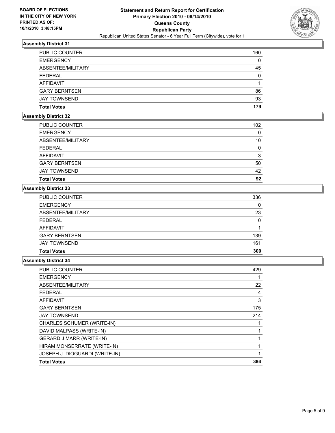

| <b>PUBLIC COUNTER</b> | 160 |
|-----------------------|-----|
| <b>EMERGENCY</b>      | 0   |
| ABSENTEE/MILITARY     | 45  |
| <b>FEDERAL</b>        | 0   |
| AFFIDAVIT             |     |
| <b>GARY BERNTSEN</b>  | 86  |
| <b>JAY TOWNSEND</b>   | 93  |
| <b>Total Votes</b>    | 179 |

# **Assembly District 32**

| PUBLIC COUNTER       | 102 |
|----------------------|-----|
| <b>EMERGENCY</b>     | 0   |
| ABSENTEE/MILITARY    | 10  |
| <b>FEDERAL</b>       | 0   |
| AFFIDAVIT            | 3   |
| <b>GARY BERNTSEN</b> | 50  |
| <b>JAY TOWNSEND</b>  | 42  |
| <b>Total Votes</b>   | 92  |

# **Assembly District 33**

| <b>PUBLIC COUNTER</b> | 336 |
|-----------------------|-----|
| <b>EMERGENCY</b>      | 0   |
| ABSENTEE/MILITARY     | 23  |
| <b>FEDERAL</b>        | 0   |
| AFFIDAVIT             |     |
| <b>GARY BERNTSEN</b>  | 139 |
| <b>JAY TOWNSEND</b>   | 161 |
| <b>Total Votes</b>    | 300 |

| <b>PUBLIC COUNTER</b>           | 429 |
|---------------------------------|-----|
| <b>EMERGENCY</b>                |     |
| ABSENTEE/MILITARY               | 22  |
| <b>FEDERAL</b>                  | 4   |
| <b>AFFIDAVIT</b>                | 3   |
| <b>GARY BERNTSEN</b>            | 175 |
| <b>JAY TOWNSEND</b>             | 214 |
| CHARLES SCHUMER (WRITE-IN)      |     |
| DAVID MALPASS (WRITE-IN)        |     |
| <b>GERARD J MARR (WRITE-IN)</b> |     |
| HIRAM MONSERRATE (WRITE-IN)     |     |
| JOSEPH J. DIOGUARDI (WRITE-IN)  | 1   |
| <b>Total Votes</b>              | 394 |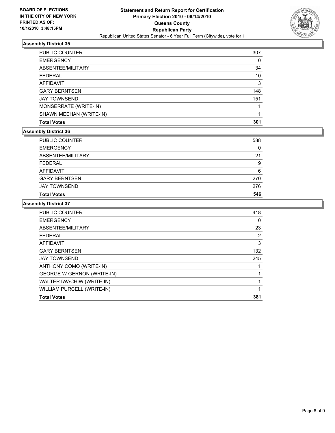

| <b>PUBLIC COUNTER</b>   | 307 |
|-------------------------|-----|
| <b>EMERGENCY</b>        | 0   |
| ABSENTEE/MILITARY       | 34  |
| <b>FEDERAL</b>          | 10  |
| AFFIDAVIT               | 3   |
| <b>GARY BERNTSEN</b>    | 148 |
| <b>JAY TOWNSEND</b>     | 151 |
| MONSERRATE (WRITE-IN)   |     |
| SHAWN MEEHAN (WRITE-IN) |     |
| <b>Total Votes</b>      | 301 |

## **Assembly District 36**

| <b>Total Votes</b>   | 546 |
|----------------------|-----|
| <b>JAY TOWNSEND</b>  | 276 |
| <b>GARY BERNTSEN</b> | 270 |
| AFFIDAVIT            | 6   |
| <b>FEDERAL</b>       | 9   |
| ABSENTEE/MILITARY    | 21  |
| <b>EMERGENCY</b>     | 0   |
| PUBLIC COUNTER       | 588 |

| PUBLIC COUNTER                    | 418 |
|-----------------------------------|-----|
| <b>EMERGENCY</b>                  | 0   |
| ABSENTEE/MILITARY                 | 23  |
| <b>FEDERAL</b>                    | 2   |
| <b>AFFIDAVIT</b>                  | 3   |
| <b>GARY BERNTSEN</b>              | 132 |
| <b>JAY TOWNSEND</b>               | 245 |
| ANTHONY COMO (WRITE-IN)           |     |
| <b>GEORGE W GERNON (WRITE-IN)</b> | 1   |
| WALTER IWACHIW (WRITE-IN)         |     |
| WILLIAM PURCELL (WRITE-IN)        | 1   |
| <b>Total Votes</b>                | 381 |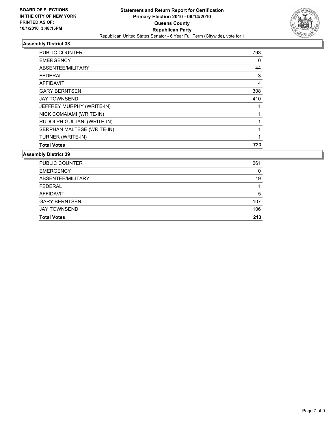

| <b>PUBLIC COUNTER</b>       | 793 |
|-----------------------------|-----|
| <b>EMERGENCY</b>            | 0   |
| ABSENTEE/MILITARY           | 44  |
| <b>FEDERAL</b>              | 3   |
| <b>AFFIDAVIT</b>            | 4   |
| <b>GARY BERNTSEN</b>        | 308 |
| <b>JAY TOWNSEND</b>         | 410 |
| JEFFREY MURPHY (WRITE-IN)   |     |
| NICK COMAIAMI (WRITE-IN)    |     |
| RUDOLPH GUILIANI (WRITE-IN) |     |
| SERPHAN MALTESE (WRITE-IN)  | 1   |
| TURNER (WRITE-IN)           | 1   |
| <b>Total Votes</b>          | 723 |

| <b>Total Votes</b>   | 213 |
|----------------------|-----|
| <b>JAY TOWNSEND</b>  | 106 |
| <b>GARY BERNTSEN</b> | 107 |
| AFFIDAVIT            | 5   |
| <b>FEDERAL</b>       | 1   |
| ABSENTEE/MILITARY    | 19  |
| <b>EMERGENCY</b>     | 0   |
| PUBLIC COUNTER       | 261 |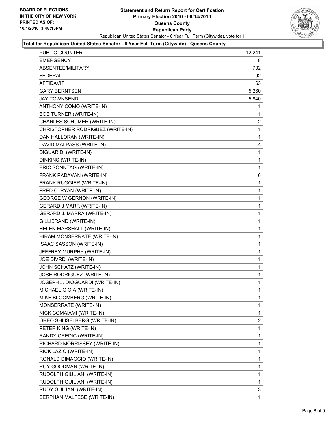

## **Total for Republican United States Senator - 6 Year Full Term (Citywide) - Queens County**

| <b>PUBLIC COUNTER</b>             | 12,241         |
|-----------------------------------|----------------|
| <b>EMERGENCY</b>                  | 8              |
| ABSENTEE/MILITARY                 | 702            |
| <b>FEDERAL</b>                    | 92             |
| AFFIDAVIT                         | 63             |
| <b>GARY BERNTSEN</b>              | 5,260          |
| <b>JAY TOWNSEND</b>               | 5,840          |
| ANTHONY COMO (WRITE-IN)           | 1              |
| <b>BOB TURNER (WRITE-IN)</b>      | 1              |
| CHARLES SCHUMER (WRITE-IN)        | $\overline{2}$ |
| CHRISTOPHER RODRIGUEZ (WRITE-IN)  | 1              |
| DAN HALLORAN (WRITE-IN)           | 1              |
| DAVID MALPASS (WRITE-IN)          | 4              |
| DIGUARIDI (WRITE-IN)              | 1              |
| DINKINS (WRITE-IN)                | 1              |
| ERIC SONNTAG (WRITE-IN)           | 1              |
| FRANK PADAVAN (WRITE-IN)          | 6              |
| FRANK RUGGIER (WRITE-IN)          | 1              |
| FRED C. RYAN (WRITE-IN)           | 1              |
| <b>GEORGE W GERNON (WRITE-IN)</b> | 1              |
| <b>GERARD J MARR (WRITE-IN)</b>   | 1              |
| GERARD J. MARRA (WRITE-IN)        | 1              |
| GILLIBRAND (WRITE-IN)             | 1              |
| HELEN MARSHALL (WRITE-IN)         | 1              |
| HIRAM MONSERRATE (WRITE-IN)       | 1              |
| ISAAC SASSON (WRITE-IN)           | 1              |
| JEFFREY MURPHY (WRITE-IN)         | 1              |
| JOE DIVRDI (WRITE-IN)             | 1              |
| JOHN SCHATZ (WRITE-IN)            | 1              |
| JOSE RODRIGUEZ (WRITE-IN)         | 1              |
| JOSEPH J. DIOGUARDI (WRITE-IN)    | 1              |
| MICHAEL GIOIA (WRITE-IN)          | 1              |
| MIKE BLOOMBERG (WRITE-IN)         | 1              |
| MONSERRATE (WRITE-IN)             | 1              |
| NICK COMAIAMI (WRITE-IN)          | 1              |
| OREO SHLISELBERG (WRITE-IN)       | 2              |
| PETER KING (WRITE-IN)             | 1              |
| RANDY CREDIC (WRITE-IN)           | 1              |
| RICHARD MORRISSEY (WRITE-IN)      | 1              |
| RICK LAZIO (WRITE-IN)             | 1              |
| RONALD DIMAGGIO (WRITE-IN)        | 1              |
| ROY GOODMAN (WRITE-IN)            | 1              |
| RUDOLPH GIULIANI (WRITE-IN)       | 1              |
| RUDOLPH GUILIANI (WRITE-IN)       | 1              |
| RUDY GUILIANI (WRITE-IN)          | 3              |
| SERPHAN MALTESE (WRITE-IN)        | 1              |